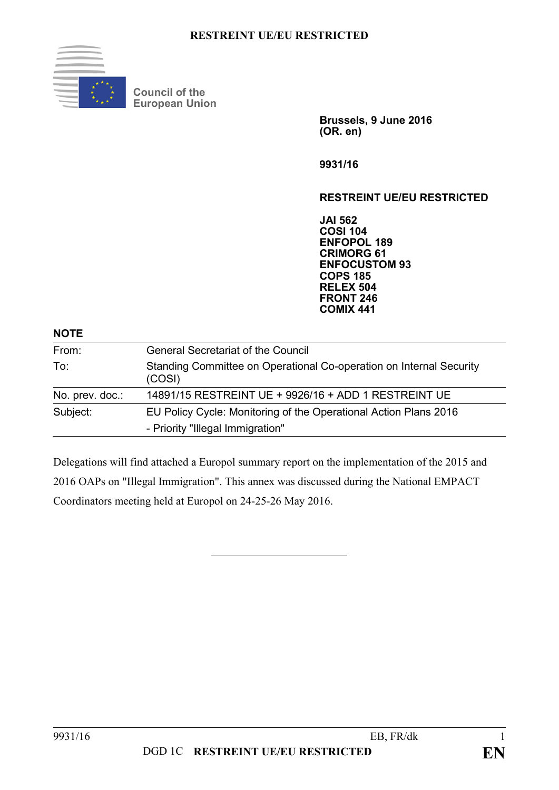

**Council of the European Union** 

> **Brussels, 9 June 2016 (OR. en)**

**9931/16** 

### **RESTREINT UE/EU RESTRICTED**

**JAI 562 COSI 104 ENFOPOL 189 CRIMORG 61 ENFOCUSTOM 93 COPS 185 RELEX 504 FRONT 246 COMIX 441** 

**NOTE** 

| From:           | <b>General Secretariat of the Council</b>                                     |
|-----------------|-------------------------------------------------------------------------------|
| To:             | Standing Committee on Operational Co-operation on Internal Security<br>(COSI) |
| No. prev. doc.: | 14891/15 RESTREINT UE + 9926/16 + ADD 1 RESTREINT UE                          |
| Subject:        | EU Policy Cycle: Monitoring of the Operational Action Plans 2016              |
|                 | - Priority "Illegal Immigration"                                              |

Delegations will find attached a Europol summary report on the implementation of the 2015 and 2016 OAPs on "Illegal Immigration". This annex was discussed during the National EMPACT Coordinators meeting held at Europol on 24-25-26 May 2016.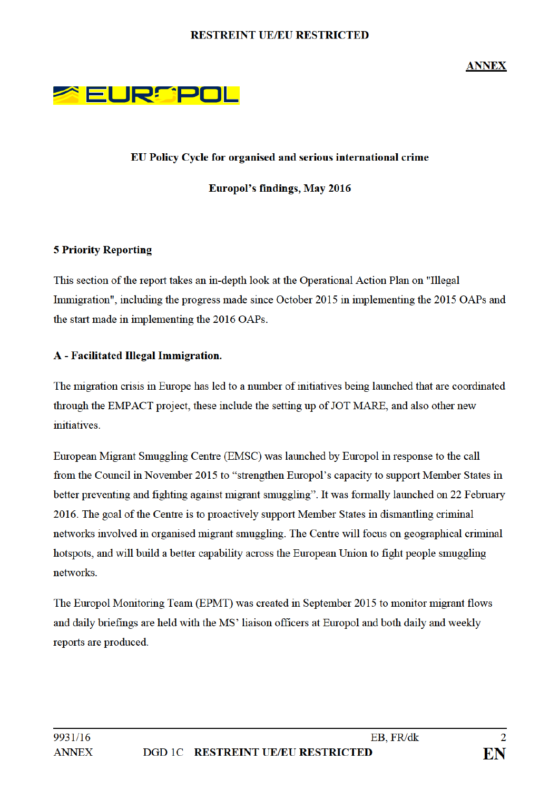

#### EU Policy Cycle for organised and serious international crime

**Europol's findings, May 2016** 

### **5 Priority Reporting**

This section of the report takes an in-depth look at the Operational Action Plan on "Illegal" Immigration", including the progress made since October 2015 in implementing the 2015 OAPs and the start made in implementing the 2016 OAPs.

### A - Facilitated Illegal Immigration.

The migration crisis in Europe has led to a number of initiatives being launched that are coordinated through the EMPACT project, these include the setting up of JOT MARE, and also other new initiatives.

European Migrant Smuggling Centre (EMSC) was launched by Europol in response to the call from the Council in November 2015 to "strengthen Europol's capacity to support Member States in better preventing and fighting against migrant smuggling". It was formally launched on 22 February 2016. The goal of the Centre is to proactively support Member States in dismantling criminal networks involved in organised migrant smuggling. The Centre will focus on geographical criminal hotspots, and will build a better capability across the European Union to fight people smuggling networks

The Europol Monitoring Team (EPMT) was created in September 2015 to monitor migrant flows and daily briefings are held with the MS' liaison officers at Europol and both daily and weekly reports are produced.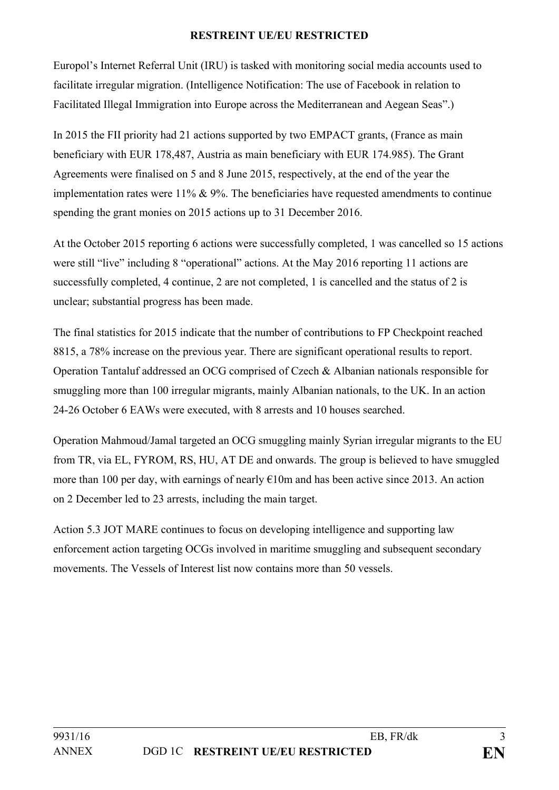Europol's Internet Referral Unit (IRU) is tasked with monitoring social media accounts used to facilitate irregular migration. (Intelligence Notification: The use of Facebook in relation to Facilitated Illegal Immigration into Europe across the Mediterranean and Aegean Seas".)

In 2015 the FII priority had 21 actions supported by two EMPACT grants, (France as main beneficiary with EUR 178,487, Austria as main beneficiary with EUR 174.985). The Grant Agreements were finalised on 5 and 8 June 2015, respectively, at the end of the year the implementation rates were 11% & 9%. The beneficiaries have requested amendments to continue spending the grant monies on 2015 actions up to 31 December 2016.

At the October 2015 reporting 6 actions were successfully completed, 1 was cancelled so 15 actions were still "live" including 8 "operational" actions. At the May 2016 reporting 11 actions are successfully completed, 4 continue, 2 are not completed, 1 is cancelled and the status of 2 is unclear; substantial progress has been made.

The final statistics for 2015 indicate that the number of contributions to FP Checkpoint reached 8815, a 78% increase on the previous year. There are significant operational results to report. Operation Tantaluf addressed an OCG comprised of Czech & Albanian nationals responsible for smuggling more than 100 irregular migrants, mainly Albanian nationals, to the UK. In an action 24-26 October 6 EAWs were executed, with 8 arrests and 10 houses searched.

Operation Mahmoud/Jamal targeted an OCG smuggling mainly Syrian irregular migrants to the EU from TR, via EL, FYROM, RS, HU, AT DE and onwards. The group is believed to have smuggled more than 100 per day, with earnings of nearly  $\epsilon$ 10m and has been active since 2013. An action on 2 December led to 23 arrests, including the main target.

Action 5.3 JOT MARE continues to focus on developing intelligence and supporting law enforcement action targeting OCGs involved in maritime smuggling and subsequent secondary movements. The Vessels of Interest list now contains more than 50 vessels.